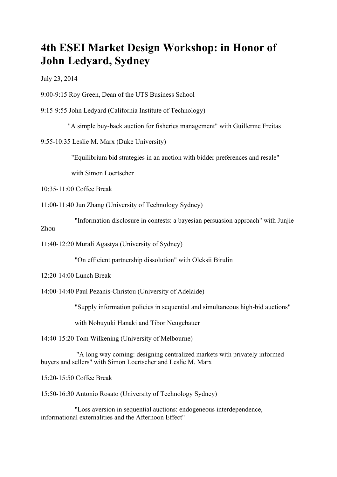## **4th ESEI Market Design Workshop: in Honor of John Ledyard, Sydney**

July 23, 2014

9:00-9:15 Roy Green, Dean of the UTS Business School

9:15-9:55 John Ledyard (California Institute of Technology)

"A simple buy-back auction for fisheries management" with Guillerme Freitas

9:55-10:35 Leslie M. Marx (Duke University)

"Equilibrium bid strategies in an auction with bidder preferences and resale"

with Simon Loertscher

10:35-11:00 Coffee Break

11:00-11:40 Jun Zhang (University of Technology Sydney)

"Information disclosure in contests: a bayesian persuasion approach" with Junjie Zhou

11:40-12:20 Murali Agastya (University of Sydney)

"On efficient partnership dissolution" with Oleksii Birulin

12:20-14:00 Lunch Break

14:00-14:40 Paul Pezanis-Christou (University of Adelaide)

"Supply information policies in sequential and simultaneous high-bid auctions"

with Nobuyuki Hanaki and Tibor Neugebauer

14:40-15:20 Tom Wilkening (University of Melbourne)

"A long way coming: designing centralized markets with privately informed buyers and sellers" with Simon Loertscher and Leslie M. Marx

15:20-15:50 Coffee Break

15:50-16:30 Antonio Rosato (University of Technology Sydney)

"Loss aversion in sequential auctions: endogeneous interdependence, informational externalities and the Afternoon Effect"